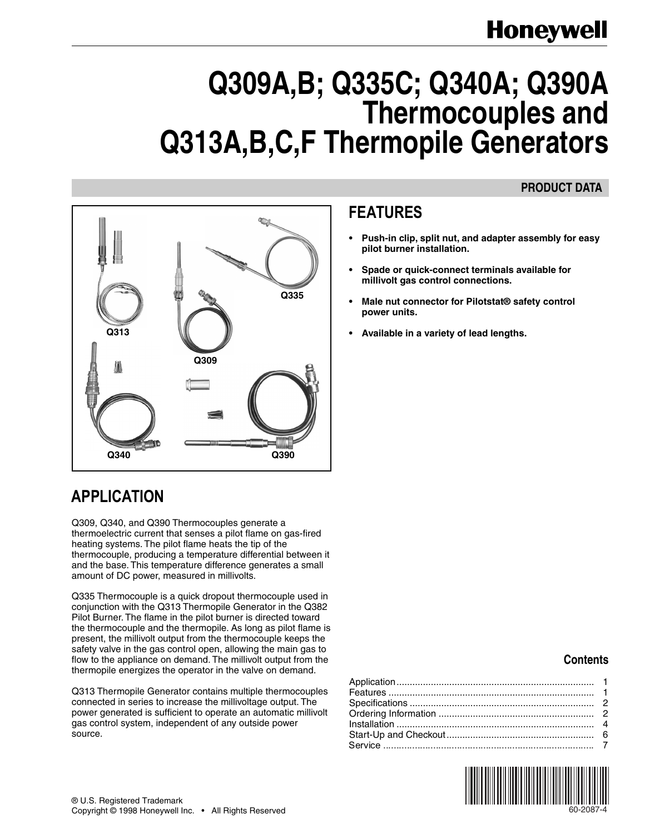## **Honeywell**

# **Q309A,B; Q335C; Q340A; Q390A Thermocouples and Q313A,B,C,F Thermopile Generators**

### **PRODUCT DATA**



## **APPLICATION**

Q309, Q340, and Q390 Thermocouples generate a thermoelectric current that senses a pilot flame on gas-fired heating systems. The pilot flame heats the tip of the thermocouple, producing a temperature differential between it and the base. This temperature difference generates a small amount of DC power, measured in millivolts.

Q335 Thermocouple is a quick dropout thermocouple used in conjunction with the Q313 Thermopile Generator in the Q382 Pilot Burner. The flame in the pilot burner is directed toward the thermocouple and the thermopile. As long as pilot flame is present, the millivolt output from the thermocouple keeps the safety valve in the gas control open, allowing the main gas to flow to the appliance on demand. The millivolt output from the thermopile energizes the operator in the valve on demand.

Q313 Thermopile Generator contains multiple thermocouples connected in series to increase the millivoltage output. The power generated is sufficient to operate an automatic millivolt gas control system, independent of any outside power source.

## **FEATURES**

- **• Push-in clip, split nut, and adapter assembly for easy pilot burner installation.**
- **• Spade or quick-connect terminals available for millivolt gas control connections.**
- **• Male nut connector for Pilotstat® safety control power units.**
- 

### **Contents**

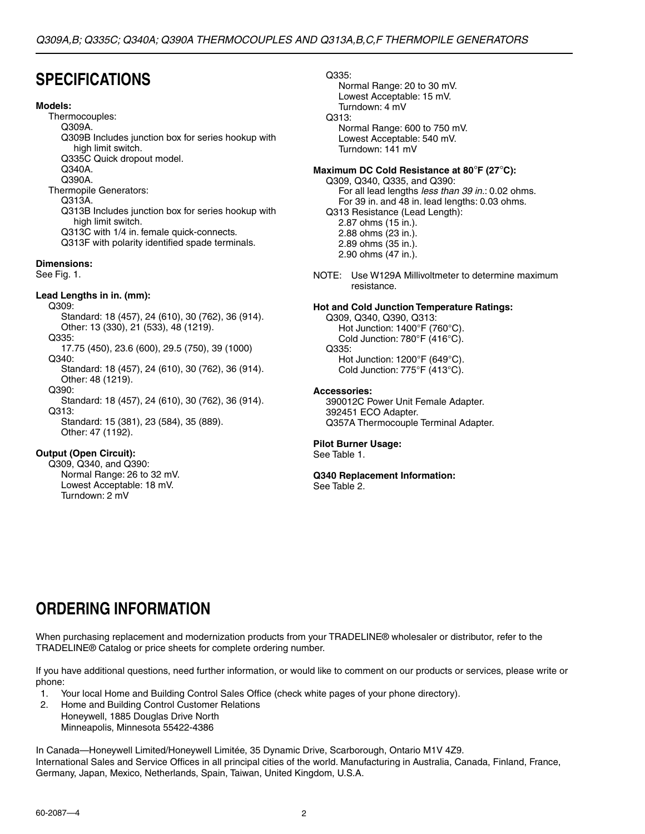## **SPECIFICATIONS**

#### **Models:**

Thermocouples: Q309A. Q309B Includes junction box for series hookup with high limit switch. Q335C Quick dropout model. Q340A. Q390A. Thermopile Generators: Q313A. Q313B Includes junction box for series hookup with high limit switch. Q313C with 1/4 in. female quick-connects. Q313F with polarity identified spade terminals. **Dimensions:**

See Fig. 1.

#### **Lead Lengths in in. (mm):**

Q309: Standard: 18 (457), 24 (610), 30 (762), 36 (914). Other: 13 (330), 21 (533), 48 (1219).

Q335:

17.75 (450), 23.6 (600), 29.5 (750), 39 (1000) Q340:

Standard: 18 (457), 24 (610), 30 (762), 36 (914). Other: 48 (1219).

Q390:

Standard: 18 (457), 24 (610), 30 (762), 36 (914). Q313:

Standard: 15 (381), 23 (584), 35 (889). Other: 47 (1192).

#### **Output (Open Circuit):**

Q309, Q340, and Q390: Normal Range: 26 to 32 mV. Lowest Acceptable: 18 mV. Turndown: 2 mV

#### Q335:

Normal Range: 20 to 30 mV. Lowest Acceptable: 15 mV. Turndown: 4 mV Q313: Normal Range: 600 to 750 mV. Lowest Acceptable: 540 mV.

Turndown: 141 mV

### **Maximum DC Cold Resistance at 80**°**F (27**°**C):**

Q309, Q340, Q335, and Q390: For all lead lengths less than 39 in.: 0.02 ohms. For 39 in. and 48 in. lead lengths: 0.03 ohms. Q313 Resistance (Lead Length): 2.87 ohms (15 in.). 2.88 ohms (23 in.). 2.89 ohms (35 in.). 2.90 ohms (47 in.).

NOTE: Use W129A Millivoltmeter to determine maximum resistance.

#### **Hot and Cold Junction Temperature Ratings:**

Q309, Q340, Q390, Q313: Hot Junction: 1400°F (760°C). Cold Junction: 780°F (416°C). Q335: Hot Junction: 1200°F (649°C). Cold Junction: 775°F (413°C).

#### **Accessories:**

390012C Power Unit Female Adapter. 392451 ECO Adapter. Q357A Thermocouple Terminal Adapter.

#### **Pilot Burner Usage:**

See Table 1.

### **Q340 Replacement Information:**

See Table 2.

## **ORDERING INFORMATION**

When purchasing replacement and modernization products from your TRADELINE® wholesaler or distributor, refer to the TRADELINE® Catalog or price sheets for complete ordering number.

If you have additional questions, need further information, or would like to comment on our products or services, please write or phone:

- 1. Your local Home and Building Control Sales Office (check white pages of your phone directory).
- 2. Home and Building Control Customer Relations Honeywell, 1885 Douglas Drive North Minneapolis, Minnesota 55422-4386

In Canada—Honeywell Limited/Honeywell Limitée, 35 Dynamic Drive, Scarborough, Ontario M1V 4Z9. International Sales and Service Offices in all principal cities of the world. Manufacturing in Australia, Canada, Finland, France, Germany, Japan, Mexico, Netherlands, Spain, Taiwan, United Kingdom, U.S.A.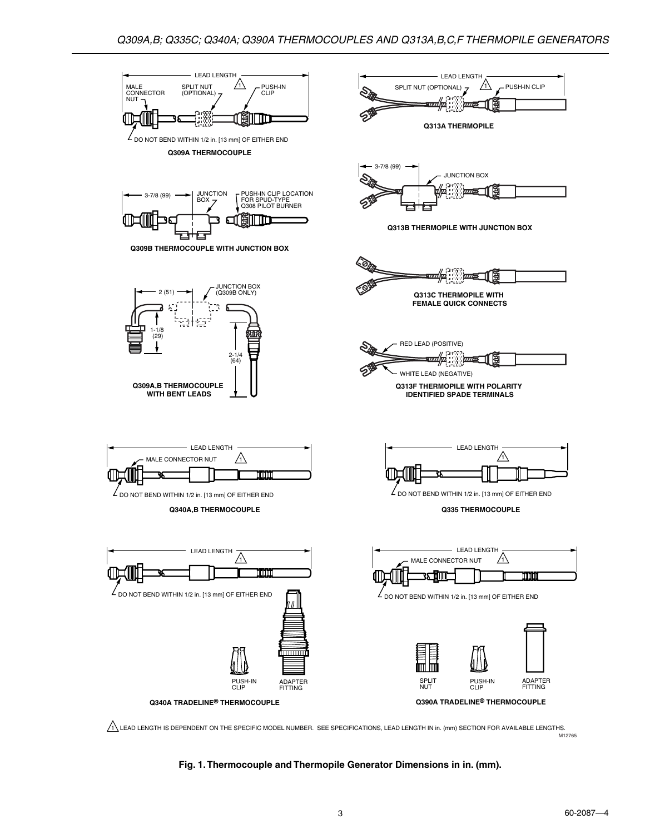

M12765

**Fig. 1. Thermocouple and Thermopile Generator Dimensions in in. (mm).**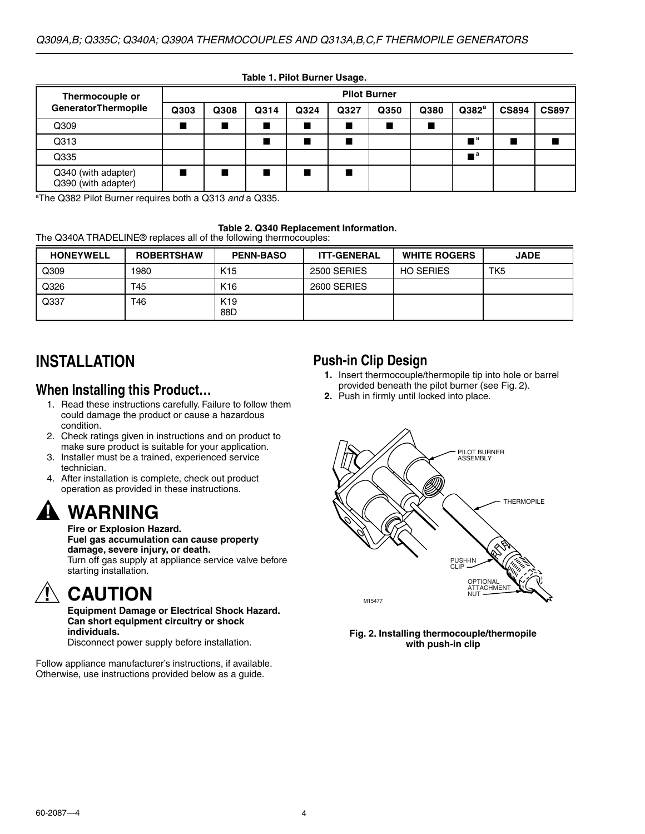| Thermocouple or                            | <b>Pilot Burner</b> |                |      |      |      |      |      |                           |              |              |
|--------------------------------------------|---------------------|----------------|------|------|------|------|------|---------------------------|--------------|--------------|
| <b>GeneratorThermopile</b>                 | Q303                | Q308           | Q314 | Q324 | Q327 | Q350 | Q380 | Q382 <sup>a</sup>         | <b>CS894</b> | <b>CS897</b> |
| Q309                                       |                     | $\blacksquare$ |      |      |      |      |      |                           |              |              |
| Q313                                       |                     |                |      |      |      |      |      | $\blacksquare$ $^{\rm a}$ |              |              |
| Q335                                       |                     |                |      |      |      |      |      | — a                       |              |              |
| Q340 (with adapter)<br>Q390 (with adapter) |                     | ٠              |      |      |      |      |      |                           |              |              |

**Table 1. Pilot Burner Usage.**

<sup>a</sup>The Q382 Pilot Burner requires both a Q313 and a Q335.

**Table 2. Q340 Replacement Information.**

The Q340A TRADELINE® replaces all of the following thermocouples:

| <b>HONEYWELL</b> | <b>ROBERTSHAW</b> | <b>PENN-BASO</b>       | <b>ITT-GENERAL</b> | <b>WHITE ROGERS</b> | <b>JADE</b> |
|------------------|-------------------|------------------------|--------------------|---------------------|-------------|
| Q309             | 1980              | K <sub>15</sub>        | 2500 SERIES        | <b>HO SERIES</b>    | TK5         |
| Q326             | T45               | K <sub>16</sub>        | 2600 SERIES        |                     |             |
| Q337             | T46               | K <sub>19</sub><br>88D |                    |                     |             |

## **INSTALLATION**

### **When Installing this Product…**

- 1. Read these instructions carefully. Failure to follow them could damage the product or cause a hazardous condition.
- 2. Check ratings given in instructions and on product to make sure product is suitable for your application.
- 3. Installer must be a trained, experienced service technician.
- 4. After installation is complete, check out product operation as provided in these instructions.

## **WARNING**

#### **Fire or Explosion Hazard.**

#### **Fuel gas accumulation can cause property damage, severe injury, or death.**

Turn off gas supply at appliance service valve before starting installation.

## **CAUTION**

**Equipment Damage or Electrical Shock Hazard. Can short equipment circuitry or shock individuals.**

Disconnect power supply before installation.

Follow appliance manufacturer's instructions, if available. Otherwise, use instructions provided below as a guide.

### **Push-in Clip Design**

- **1.** Insert thermocouple/thermopile tip into hole or barrel provided beneath the pilot burner (see Fig. 2).
- **2.** Push in firmly until locked into place.



#### **Fig. 2. Installing thermocouple/thermopile with push-in clip**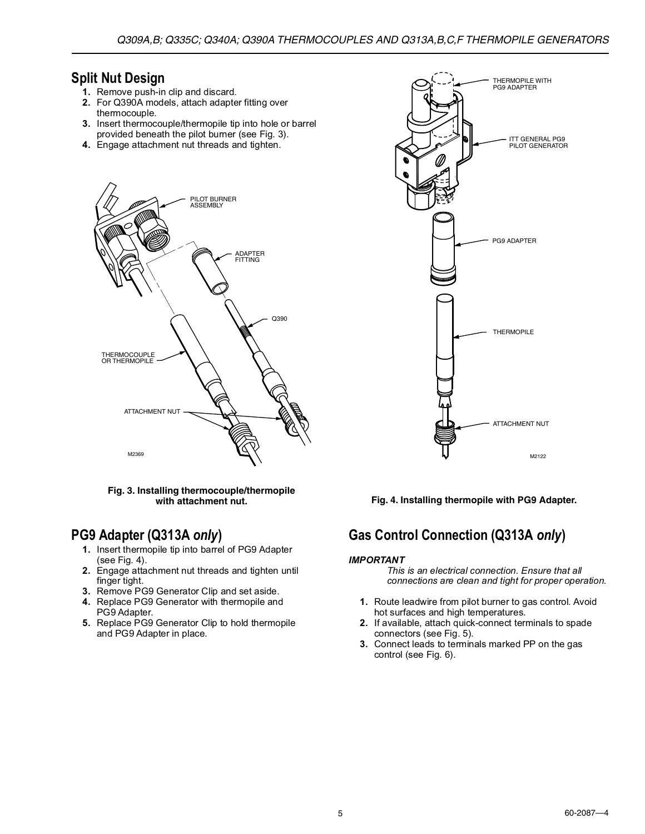## **Split Nut Design**

- **1.** Remove push-in clip and discard.
- **2.** For Q390A models, attach adapter fitting over thermocouple.
- **3.** Insert thermocouple/thermopile tip into hole or barrel provided beneath the pilot burner (see Fig. 3).
- **4.** Engage attachment nut threads and tighten.



#### **Fig. 3. Installing thermocouple/thermopile with attachment nut.**

## **PG9 Adapter (Q313A** *only***)**

- **1.** Insert thermopile tip into barrel of PG9 Adapter (see Fig. 4).
- **2.** Engage attachment nut threads and tighten until finger tight.
- **3.** Remove PG9 Generator Clip and set aside.
- **4.** Replace PG9 Generator with thermopile and PG9 Adapter.
- **5.** Replace PG9 Generator Clip to hold thermopile and PG9 Adapter in place.



**Fig. 4. Installing thermopile with PG9 Adapter.**

## **Gas Control Connection (Q313A** *only***)**

#### **IMPORTANT**

- This is an electrical connection. Ensure that all connections are clean and tight for proper operation.
- **1.** Route leadwire from pilot burner to gas control. Avoid hot surfaces and high temperatures.
- **2.** If available, attach quick-connect terminals to spade connectors (see Fig. 5).
- **3.** Connect leads to terminals marked PP on the gas control (see Fig. 6).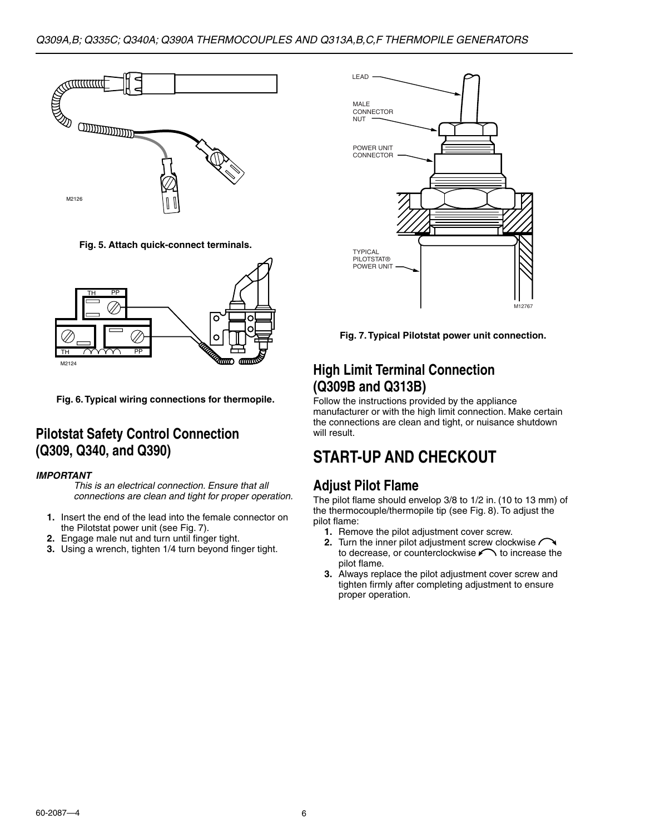

**Fig. 5. Attach quick-connect terminals.**



**Fig. 6. Typical wiring connections for thermopile.**

## **Pilotstat Safety Control Connection (Q309, Q340, and Q390)**

#### **IMPORTANT**

- This is an electrical connection. Ensure that all connections are clean and tight for proper operation.
- **1.** Insert the end of the lead into the female connector on
- the Pilotstat power unit (see Fig. 7). **2.** Engage male nut and turn until finger tight.
- **3.** Using a wrench, tighten 1/4 turn beyond finger tight.



**Fig. 7. Typical Pilotstat power unit connection.**

## **High Limit Terminal Connection (Q309B and Q313B)**

Follow the instructions provided by the appliance manufacturer or with the high limit connection. Make certain the connections are clean and tight, or nuisance shutdown will result.

## **START-UP AND CHECKOUT**

## **Adjust Pilot Flame**

The pilot flame should envelop 3/8 to 1/2 in. (10 to 13 mm) of the thermocouple/thermopile tip (see Fig. 8). To adjust the pilot flame:

- **1.** Remove the pilot adjustment cover screw.
- **2.** Turn the inner pilot adjustment screw clockwise to decrease, or counterclockwise  $\curvearrowleft$  to increase the pilot flame.
- **3.** Always replace the pilot adjustment cover screw and tighten firmly after completing adjustment to ensure proper operation.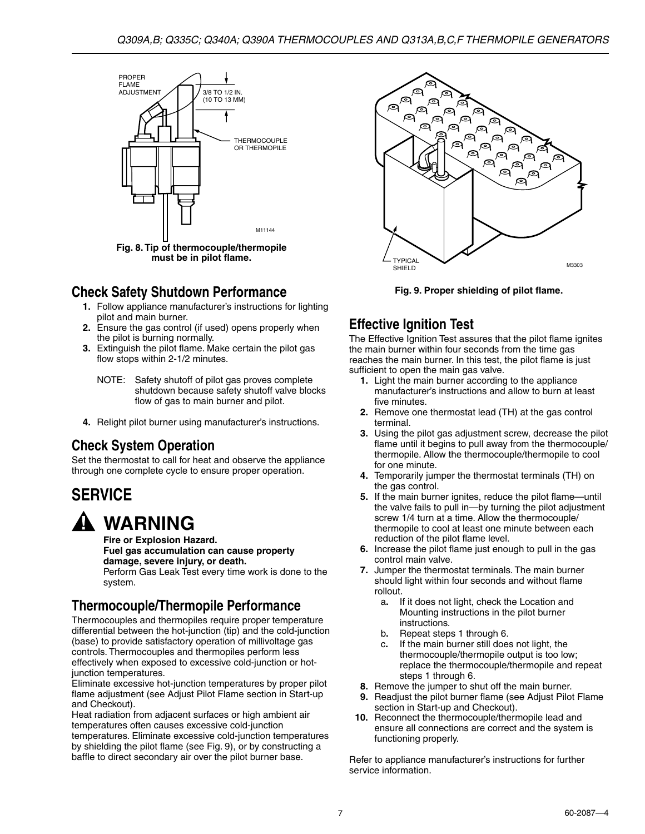

**must be in pilot flame.**

## **Check Safety Shutdown Performance**

- **1.** Follow appliance manufacturer's instructions for lighting pilot and main burner.
- **2.** Ensure the gas control (if used) opens properly when the pilot is burning normally.
- **3.** Extinguish the pilot flame. Make certain the pilot gas flow stops within 2-1/2 minutes.
	- NOTE: Safety shutoff of pilot gas proves complete shutdown because safety shutoff valve blocks flow of gas to main burner and pilot.
- **4.** Relight pilot burner using manufacturer's instructions.

## **Check System Operation**

Set the thermostat to call for heat and observe the appliance through one complete cycle to ensure proper operation.

## **SERVICE**

## **WARNING**

**Fire or Explosion Hazard. Fuel gas accumulation can cause property damage, severe injury, or death.** Perform Gas Leak Test every time work is done to the system.

## **Thermocouple/Thermopile Performance**

Thermocouples and thermopiles require proper temperature differential between the hot-junction (tip) and the cold-junction (base) to provide satisfactory operation of millivoltage gas controls. Thermocouples and thermopiles perform less effectively when exposed to excessive cold-junction or hotjunction temperatures.

Eliminate excessive hot-junction temperatures by proper pilot flame adjustment (see Adjust Pilot Flame section in Start-up and Checkout).

Heat radiation from adjacent surfaces or high ambient air temperatures often causes excessive cold-junction temperatures. Eliminate excessive cold-junction temperatures by shielding the pilot flame (see Fig. 9), or by constructing a baffle to direct secondary air over the pilot burner base.



**Fig. 9. Proper shielding of pilot flame.**

## **Effective Ignition Test**

The Effective Ignition Test assures that the pilot flame ignites the main burner within four seconds from the time gas reaches the main burner. In this test, the pilot flame is just sufficient to open the main gas valve.

- **1.** Light the main burner according to the appliance manufacturer's instructions and allow to burn at least five minutes.
- **2.** Remove one thermostat lead (TH) at the gas control terminal.
- **3.** Using the pilot gas adjustment screw, decrease the pilot flame until it begins to pull away from the thermocouple/ thermopile. Allow the thermocouple/thermopile to cool for one minute.
- **4.** Temporarily jumper the thermostat terminals (TH) on the gas control.
- **5.** If the main burner ignites, reduce the pilot flame—until the valve fails to pull in—by turning the pilot adjustment screw 1/4 turn at a time. Allow the thermocouple/ thermopile to cool at least one minute between each reduction of the pilot flame level.
- **6.** Increase the pilot flame just enough to pull in the gas control main valve.
- **7.** Jumper the thermostat terminals. The main burner should light within four seconds and without flame rollout.
	- a**.** If it does not light, check the Location and Mounting instructions in the pilot burner instructions.
	- b**.** Repeat steps 1 through 6.
	- c**.** If the main burner still does not light, the thermocouple/thermopile output is too low; replace the thermocouple/thermopile and repeat steps 1 through 6.
- **8.** Remove the jumper to shut off the main burner.
- **9.** Readjust the pilot burner flame (see Adjust Pilot Flame section in Start-up and Checkout).
- **10.** Reconnect the thermocouple/thermopile lead and ensure all connections are correct and the system is functioning properly.

Refer to appliance manufacturer's instructions for further service information.